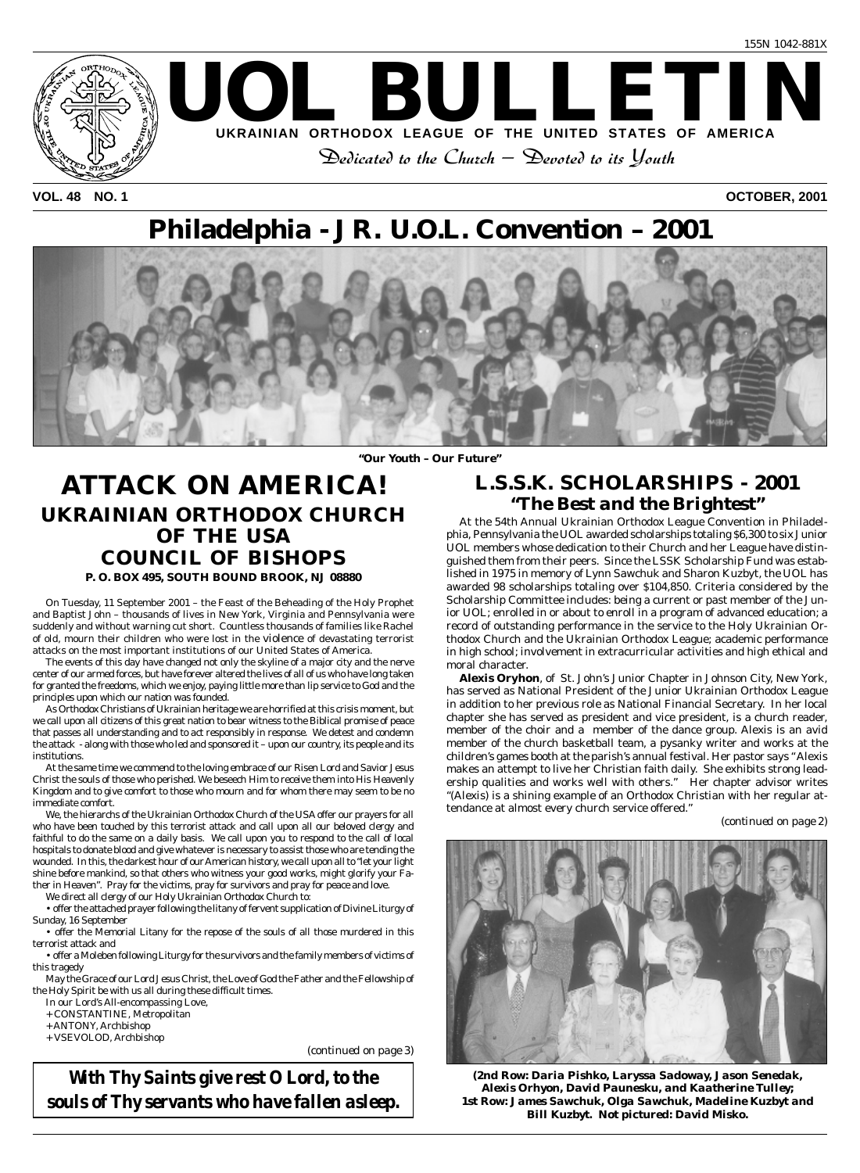

**VOL. 48 NO. 1 OCTOBER, 2001**

# **Philadelphia - JR. U.O.L. Convention – 2001**



*"Our Youth – Our Future"*

# **ATTACK ON AMERICA! UKRAINIAN ORTHODOX CHURCH OF THE USA COUNCIL OF BISHOPS P. O. BOX 495, SOUTH BOUND BROOK, NJ 08880**

On Tuesday, 11 September 2001 – the Feast of the Beheading of the Holy Prophet and Baptist John – thousands of lives in New York, Virginia and Pennsylvania were suddenly and without warning cut short. Countless thousands of families like Rachel of old, mourn their children who were lost in the violence of devastating terrorist attacks on the most important institutions of our United States of America.

The events of this day have changed not only the skyline of a major city and the nerve center of our armed forces, but have forever altered the lives of all of us who have long taken for granted the freedoms, which we enjoy, paying little more than lip service to God and the principles upon which our nation was founded.

As Orthodox Christians of Ukrainian heritage we are horrified at this crisis moment, but we call upon all citizens of this great nation to bear witness to the Biblical promise of peace that passes all understanding and to act responsibly in response. We detest and condemn the attack - along with those who led and sponsored it – upon our country, its people and its institutions.

At the same time we commend to the loving embrace of our Risen Lord and Savior Jesus Christ the souls of those who perished. We beseech Him to receive them into His Heavenly Kingdom and to give comfort to those who mourn and for whom there may seem to be no immediate comfort.

We, the hierarchs of the Ukrainian Orthodox Church of the USA offer our prayers for all who have been touched by this terrorist attack and call upon all our beloved clergy and faithful to do the same on a daily basis. We call upon you to respond to the call of local hospitals to donate blood and give whatever is necessary to assist those who are tending the wounded. In this, the darkest hour of our American history, we call upon all to "let your light shine before mankind, so that others who witness your good works, might glorify your Father in Heaven". Pray for the victims, pray for survivors and pray for peace and love.

We direct all clergy of our Holy Ukrainian Orthodox Church to:

• offer the attached prayer following the litany of fervent supplication of Divine Liturgy of Sunday, 16 September

• offer the Memorial Litany for the repose of the souls of all those murdered in this terrorist attack and

• offer a Moleben following Liturgy for the survivors and the family members of victims of this tragedy

May the Grace of our Lord Jesus Christ, the Love of God the Father and the Fellowship of the Holy Spirit be with us all during these difficult times.

In our Lord's All-encompassing Love,

+ CONSTANTINE, Metropolitan

- + ANTONY, Archbishop
- + VSEVOLOD, Archbishop

*(continued on page 3)*

*With Thy Saints give rest O Lord, to the souls of Thy servants who have fallen asleep.*

# **L.S.S.K. SCHOLARSHIPS - 2001** *"The Best and the Brightest"*

At the 54th Annual Ukrainian Orthodox League Convention in Philadelphia, Pennsylvania the UOL awarded scholarships totaling \$6,300 to six Junior UOL members whose dedication to their Church and her League have distinguished them from their peers. Since the LSSK Scholarship Fund was established in 1975 in memory of Lynn Sawchuk and Sharon Kuzbyt, the UOL has awarded 98 scholarships totaling over \$104,850. Criteria considered by the Scholarship Committee includes: being a current or past member of the Junior UOL; enrolled in or about to enroll in a program of advanced education; a record of outstanding performance in the service to the Holy Ukrainian Orthodox Church and the Ukrainian Orthodox League; academic performance in high school; involvement in extracurricular activities and high ethical and moral character.

**Alexis Oryhon**, of St. John's Junior Chapter in Johnson City, New York, has served as National President of the Junior Ukrainian Orthodox League in addition to her previous role as National Financial Secretary. In her local chapter she has served as president and vice president, is a church reader, member of the choir and a member of the dance group. Alexis is an avid member of the church basketball team, a pysanky writer and works at the children's games booth at the parish's annual festival. Her pastor says " Alexis makes an attempt to live her Christian faith daily. She exhibits strong leadership qualities and works well with others." Her chapter advisor writes "(Alexis) is a shining example of an Orthodox Christian with her regular attendance at almost every church service offered."

*(continued on page 2)*



*(2nd Row: Daria Pishko, Laryssa Sadoway, Jason Senedak, Alexis Orhyon, David Paunesku, and Kaatherine Tulley; 1st Row: James Sawchuk, Olga Sawchuk, Madeline Kuzbyt and Bill Kuzbyt. Not pictured: David Misko.*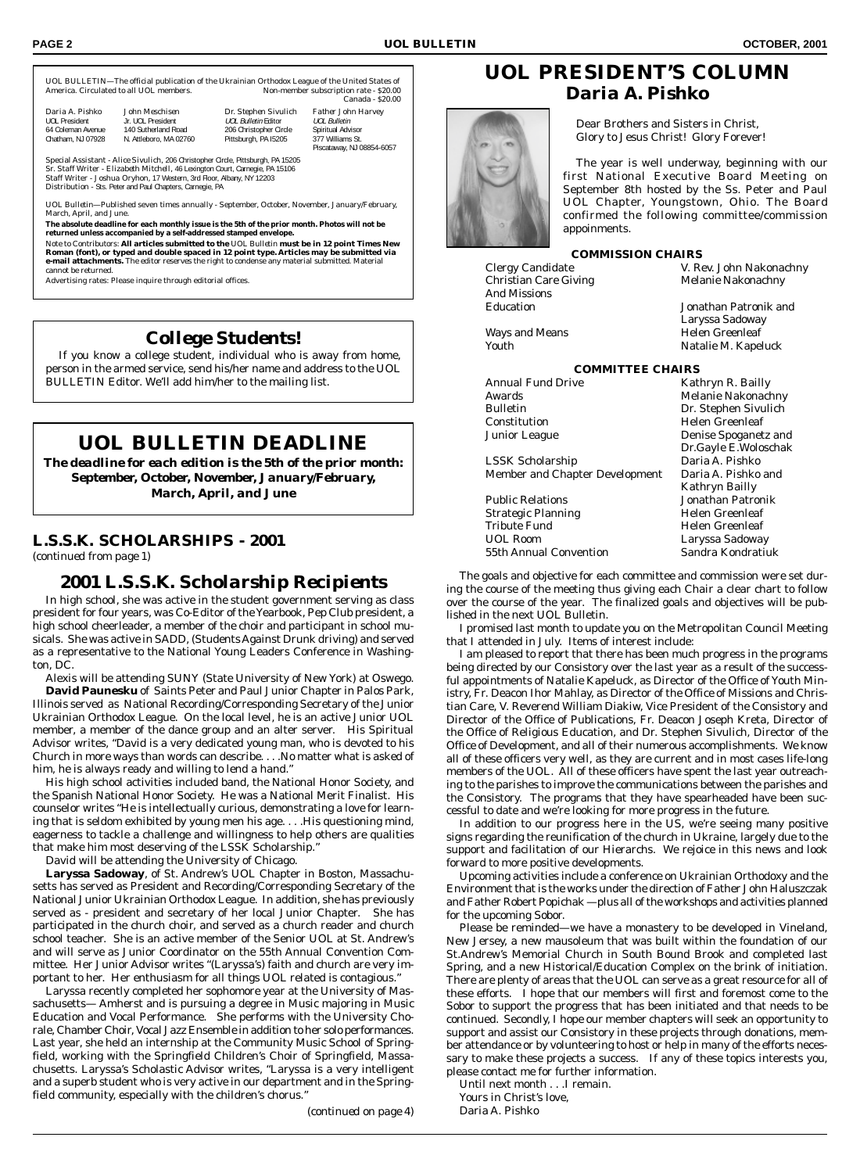Piscataway, NJ 08854-6057

UOL BULLETIN—The official publication of the Ukrainian Orthodox League of the United States of America. Circulated to all UOL members. Canada - \$20.00

*Daria A. Pishko John Meschisen Dr. Stephen Sivulich Father John Harvey* UOL Bulletin Editor 64 Coleman Avenue 140 Sutherland Road 206 Christopher Circle Spiritual Advisor Chatham, NJ 07928 N. Attleboro, MA 02760 Pittsburgh, PA I5205 377 Williams St.

Special Assistant - *Alice Sivulich,* 206 Christopher Circle, Pittsburgh, PA 15205 Sr. Staff Writer - *Elizabeth Mitchell,* 46 Lexington Court, Carnegie, PA 15106 Staff Writer - *Joshua Oryhon,* 17 Western, 3rd Floor, Albany, NY 12203 Distribution - Sts. Peter and Paul Chapters, Carnegie, PA

*UOL Bulletin*—Published seven times annually - September, October, November, January/February, March, April, and June.

**The absolute deadline for each monthly issue is the 5th of the prior month. Photos will not be returned unless accompanied by a self-addressed stamped envelope.**

Note to Contributors: **All articles submitted to the** *UOL Bulletin* **must be in 12 point Times New Roman (font), or typed and double spaced in 12 point type. Articles may be submitted via e-mail attachments.** The editor reserves the right to condense any material submitted. Material cannot be returned.

Advertising rates: Please inquire through editorial offices.

### *College Students!*

If you know a college student, individual who is away from home, person in the armed service, send his/her name and address to the UOL BULLETIN Editor. We'll add him/her to the mailing list.

# **UOL BULLETIN DEADLINE**

*The deadline for each edition is the 5th of the prior month: September, October, November, January/February, March, April, and June*

### **L.S.S.K. SCHOLARSHIPS - 2001**

*(continued from page 1)*

### *2001 L.S.S.K. Scholarship Recipients*

In high school, she was active in the student government serving as class president for four years, was Co-Editor of the Yearbook, Pep Club president, a high school cheerleader, a member of the choir and participant in school musicals. She was active in SADD, (Students Against Drunk driving) and served as a representative to the National Young Leaders Conference in Washington, DC.

Alexis will be attending SUNY (State University of New York) at Oswego. **David Paunesku** of Saints Peter and Paul Junior Chapter in Palos Park, Illinois served as National Recording/Corresponding Secretary of the Junior Ukrainian Orthodox League. On the local level, he is an active Junior UOL member, a member of the dance group and an alter server. His Spiritual Advisor writes, "David is a very dedicated young man, who is devoted to his Church in more ways than words can describe. . . .No matter what is asked of him, he is always ready and willing to lend a hand."

His high school activities included band, the National Honor Society, and the Spanish National Honor Society. He was a National Merit Finalist. His counselor writes "He is intellectually curious, demonstrating a love for learning that is seldom exhibited by young men his age. . . .His questioning mind, eagerness to tackle a challenge and willingness to help others are qualities that make him most deserving of the LSSK Scholarship."

David will be attending the University of Chicago.

**Laryssa Sadoway**, of St. Andrew's UOL Chapter in Boston, Massachusetts has served as President and Recording/Corresponding Secretary of the National Junior Ukrainian Orthodox League. In addition, she has previously served as - president and secretary of her local Junior Chapter. She has participated in the church choir, and served as a church reader and church school teacher. She is an active member of the Senior UOL at St. Andrew's and will serve as Junior Coordinator on the 55th Annual Convention Committee. Her Junior Advisor writes "(Laryssa's) faith and church are very important to her. Her enthusiasm for all things UOL related is contagious.'

Laryssa recently completed her sophomore year at the University of Massachusetts— Amherst and is pursuing a degree in Music majoring in Music Education and Vocal Performance. She performs with the University Chorale, Chamber Choir, Vocal Jazz Ensemble in addition to her solo performances. Last year, she held an internship at the Community Music School of Springfield, working with the Springfield Children's Choir of Springfield, Massachusetts. Laryssa's Scholastic Advisor writes, "Laryssa is a very intelligent and a superb student who is very active in our department and in the Springfield community, especially with the children's chorus."

*(continued on page 4)*

# **UOL PRESIDENT'S COLUMN** *Daria A. Pishko*



Dear Brothers and Sisters in Christ, Glory to Jesus Christ! Glory Forever!

The year is well underway, beginning with our first National Executive Board Meeting on September 8th hosted by the Ss. Peter and Paul UOL Chapter, Youngstown, Ohio. The Board confirmed the following committee/commission appoinments.

### **COMMISSION CHAIRS**

Christian Care Giving Melanie Nakonachny And Missions Education Jonathan Patronik and

Clergy Candidate V. Rev. John Nakonachny

Laryssa Sadoway Ways and Means **Helen** Greenleaf Youth Natalie M. Kapeluck

| <b>COMMITTEE CHAIRS</b>               |                             |  |  |  |
|---------------------------------------|-----------------------------|--|--|--|
| <b>Annual Fund Drive</b>              | Kathryn R. Bailly           |  |  |  |
| Awards                                | <b>Melanie Nakonachny</b>   |  |  |  |
| <b>Bulletin</b>                       | Dr. Stephen Sivulich        |  |  |  |
| Constitution                          | <b>Helen Greenleaf</b>      |  |  |  |
| Junior League                         | <b>Denise Spoganetz and</b> |  |  |  |
|                                       | Dr.Gayle E.Woloschak        |  |  |  |
| <b>LSSK Scholarship</b>               | Daria A. Pishko             |  |  |  |
| <b>Member and Chapter Development</b> | Daria A. Pishko and         |  |  |  |
|                                       | <b>Kathryn Bailly</b>       |  |  |  |
| <b>Public Relations</b>               | Jonathan Patronik           |  |  |  |
| <b>Strategic Planning</b>             | Helen Greenleaf             |  |  |  |
| <b>Tribute Fund</b>                   | Helen Greenleaf             |  |  |  |
| <b>UOL Room</b>                       | Laryssa Sadoway             |  |  |  |
| 55th Annual Convention                | Sandra Kondratiuk           |  |  |  |

The goals and objective for each committee and commission were set during the course of the meeting thus giving each Chair a clear chart to follow over the course of the year. The finalized goals and objectives will be published in the next UOL Bulletin.

I promised last month to update you on the Metropolitan Council Meeting that I attended in July. Items of interest include:

I am pleased to report that there has been much progress in the programs being directed by our Consistory over the last year as a result of the successful appointments of Natalie Kapeluck, as Director of the Office of Youth Ministry, Fr. Deacon Ihor Mahlay, as Director of the Office of Missions and Christian Care, V. Reverend William Diakiw, Vice President of the Consistory and Director of the Office of Publications, Fr. Deacon Joseph Kreta, Director of the Office of Religious Education, and Dr. Stephen Sivulich, Director of the Office of Development, and all of their numerous accomplishments. We know all of these officers very well, as they are current and in most cases life-long members of the UOL. All of these officers have spent the last year outreaching to the parishes to improve the communications between the parishes and the Consistory. The programs that they have spearheaded have been successful to date and we're looking for more progress in the future.

In addition to our progress here in the US, we're seeing many positive signs regarding the reunification of the church in Ukraine, largely due to the support and facilitation of our Hierarchs. We rejoice in this news and look forward to more positive developments.

Upcoming activities include a conference on Ukrainian Orthodoxy and the Environment that is the works under the direction of Father John Haluszczak and Father Robert Popichak —plus all of the workshops and activities planned for the upcoming Sobor.

Please be reminded—we have a monastery to be developed in Vineland, New Jersey, a new mausoleum that was built within the foundation of our St.Andrew's Memorial Church in South Bound Brook and completed last Spring, and a new Historical/Education Complex on the brink of initiation. There are plenty of areas that the UOL can serve as a great resource for all of these efforts. I hope that our members will first and foremost come to the Sobor to support the progress that has been initiated and that needs to be continued. Secondly, I hope our member chapters will seek an opportunity to support and assist our Consistory in these projects through donations, member attendance or by volunteering to host or help in many of the efforts necessary to make these projects a success. If any of these topics interests you, please contact me for further information.

Until next month . . .I remain. Yours in Christ's love, Daria A. Pishko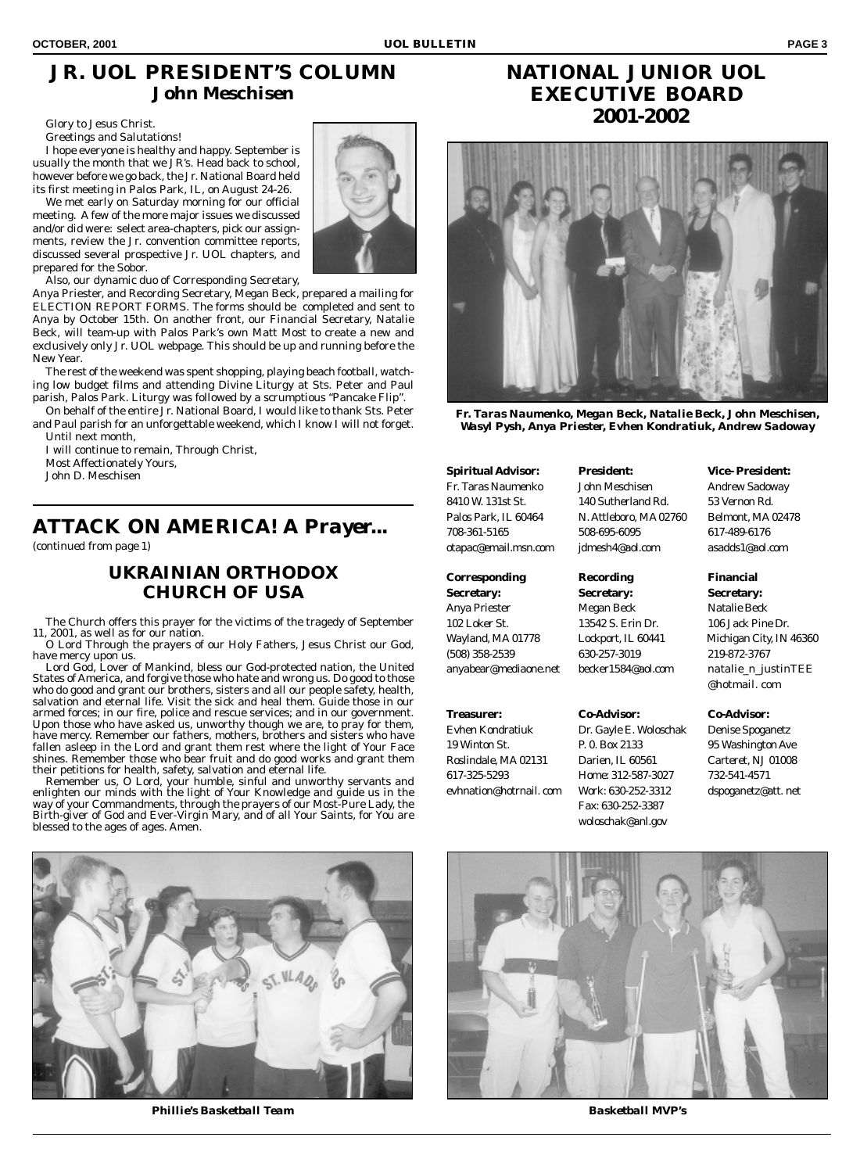# **JR. UOL PRESIDENT'S COLUMN** *John Meschisen*

Glory to Jesus Christ.

Greetings and Salutations!

I hope everyone is healthy and happy. September is usually the month that we JR's. Head back to school, however before we go back, the Jr. National Board held its first meeting in Palos Park, IL, on August 24-26.

We met early on Saturday morning for our official meeting. A few of the more major issues we discussed and/or did were: select area-chapters, pick our assignments, review the Jr. convention committee reports, discussed several prospective Jr. UOL chapters, and prepared for the Sobor.

Also, our dynamic duo of Corresponding Secretary,

Anya Priester, and Recording Secretary, Megan Beck, prepared a mailing for ELECTION REPORT FORMS. The forms should be completed and sent to Anya by October 15th. On another front, our Financial Secretary, Natalie Beck, will team-up with Palos Park's own Matt Most to create a new and exclusively only Jr. UOL webpage. This should be up and running before the New Year.

The rest of the weekend was spent shopping, playing beach football, watching low budget films and attending Divine Liturgy at Sts. Peter and Paul parish, Palos Park. Liturgy was followed by a scrumptious "Pancake Flip".

On behalf of the entire Jr. National Board, I would like to thank Sts. Peter and Paul parish for an unforgettable weekend, which I know I will not forget. Until next month,

I will continue to remain, Through Christ,

Most Affectionately Yours,

John D. Meschisen

# **ATTACK ON AMERICA!** *A Prayer...*

*(continued from page 1)*

### *UKRAINIAN ORTHODOX CHURCH OF USA*

The Church offers this prayer for the victims of the tragedy of September 11, 2001, as well as for our nation.

O Lord Through the prayers of our Holy Fathers, Jesus Christ our God, have mercy upon us.

Lord God, Lover of Mankind, bless our God-protected nation, the United States of America, and forgive those who hate and wrong us. Do good to those who do good and grant our brothers, sisters and all our people safety, health, salvation and eternal life. Visit the sick and heal them. Guide those in our armed forces; in our fire, police and rescue services; and in our government. Upon those who have asked us, unworthy though we are, to pray for them, have mercy. Remember our fathers, mothers, brothers and sisters who have fallen asleep in the Lord and grant them rest where the light of Your Face shines. Remember those who bear fruit and do good works and grant them their petitions for health, safety, salvation and eternal life.

Remember us, O Lord, your humble, sinful and unworthy servants and enlighten our minds with the light of Your Knowledge and guide us in the way of your Commandments, through the prayers of our Most-Pure Lady, the Birth-giver of God and Ever-Virgin Mary, and of all Your Saints, for You are blessed to the ages of ages. Amen.



*Phillie's Basketball Team Basketball MVP's*



# **NATIONAL JUNIOR UOL EXECUTIVE BOARD 2001-2002**



*Fr. Taras Naumenko, Megan Beck, Natalie Beck, John Meschisen, Wasyl Pysh, Anya Priester, Evhen Kondratiuk, Andrew Sadoway*

### **Corresponding Recording Financial**

**Secretary: Secretary: Secretary:** Anya Priester Megan Beck Natalie Beck 102 Loker St. 13542 S. Erin Dr. 106 Jack Pine Dr. (508) 358-2539 630-257-3019 219-872-3767 anyabear@mediaone.net becker1584@aol.com natalie\_n\_justinTEE

617-325-5293 Home: 312-587-3027 732-541-4571

Fr. Taras Naumenko John Meschisen Andrew Sadoway 8410 W. 131st St. 140 Sutherland Rd. 53 Vernon Rd. Palos Park, IL 60464 N. Attleboro, MA 02760 Belmont, MA 02478 708-361-5165 508-695-6095 617-489-6176 otapac@email.msn.com jdmesh4@aol.com asadds1@aol.com

### **Treasurer: Co-Advisor: Co-Advisor:**

Evhen Kondratiuk Dr. Gayle E. Woloschak Denise Spoganetz 19 Winton St. P. 0. Box 2133 95 Washington Ave Roslindale, MA 02131 Darien, IL 60561 Carteret, NJ 01008 evhnation@hotrnail. com Work: 630-252-3312 dspoganetz@att. net Fax: 630-252-3387 woloschak@anl.gov

**Spiritual Advisor: President: Vice- President:**

Wayland, MA 01778 Lockport, IL 60441 Michigan City, IN 46360 @hotmail. com

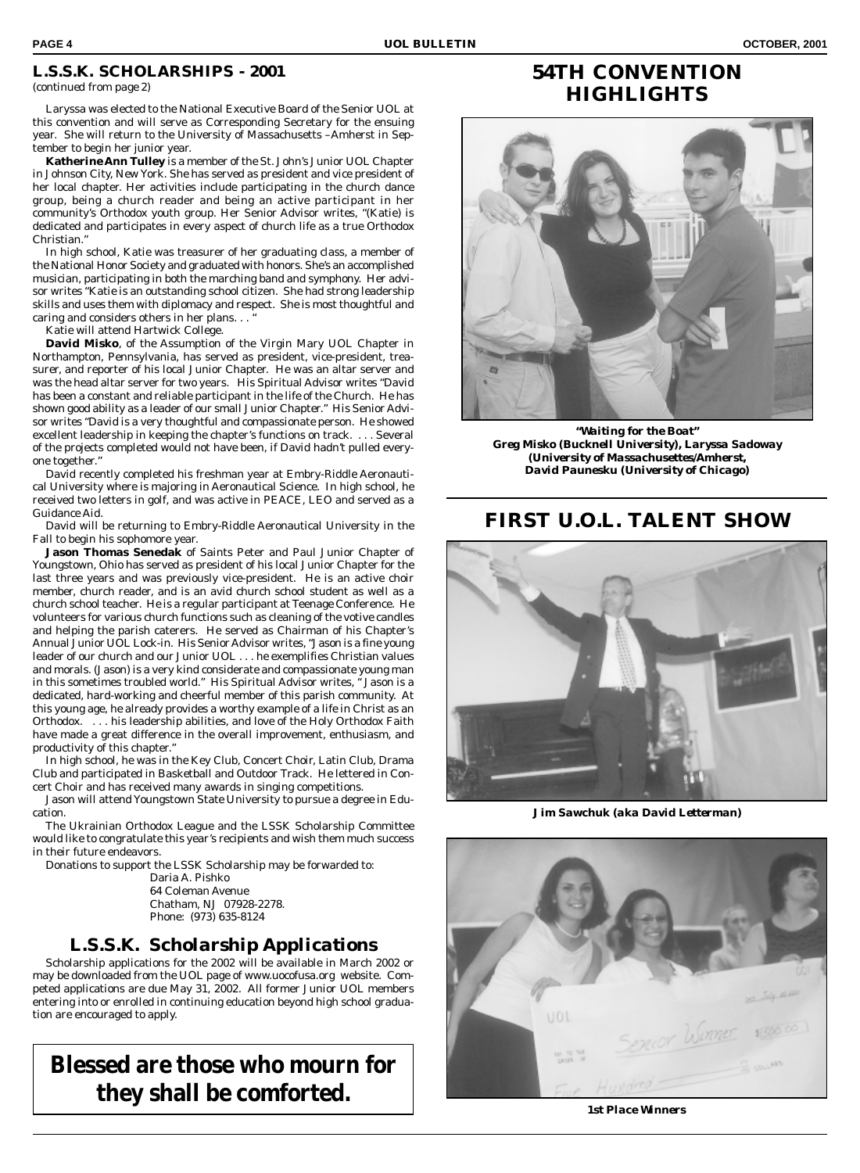### **L.S.S.K. SCHOLARSHIPS - 2001**

Laryssa was elected to the National Executive Board of the Senior UOL at this convention and will serve as Corresponding Secretary for the ensuing year. She will return to the University of Massachusetts –Amherst in September to begin her junior year.

**Katherine Ann Tulley** is a member of the St. John's Junior UOL Chapter in Johnson City, New York. She has served as president and vice president of her local chapter. Her activities include participating in the church dance group, being a church reader and being an active participant in her community's Orthodox youth group. Her Senior Advisor writes, "(Katie) is dedicated and participates in every aspect of church life as a true Orthodox Christian."

In high school, Katie was treasurer of her graduating class, a member of the National Honor Society and graduated with honors. She's an accomplished musician, participating in both the marching band and symphony. Her advisor writes "Katie is an outstanding school citizen. She had strong leadership skills and uses them with diplomacy and respect. She is most thoughtful and caring and considers others in her plans.  $\ldots$ 

Katie will attend Hartwick College.

**David Misko**, of the Assumption of the Virgin Mary UOL Chapter in Northampton, Pennsylvania, has served as president, vice-president, treasurer, and reporter of his local Junior Chapter. He was an altar server and was the head altar server for two years. His Spiritual Advisor writes "David has been a constant and reliable participant in the life of the Church. He has shown good ability as a leader of our small Junior Chapter." His Senior Advisor writes "David is a very thoughtful and compassionate person. He showed excellent leadership in keeping the chapter's functions on track. . . . Several of the projects completed would not have been, if David hadn't pulled everyone together."

David recently completed his freshman year at Embry-Riddle Aeronautical University where is majoring in Aeronautical Science. In high school, he received two letters in golf, and was active in PEACE, LEO and served as a Guidance Aid.

David will be returning to Embry-Riddle Aeronautical University in the Fall to begin his sophomore year.

**Jason Thomas Senedak** of Saints Peter and Paul Junior Chapter of Youngstown, Ohio has served as president of his local Junior Chapter for the last three years and was previously vice-president. He is an active choir member, church reader, and is an avid church school student as well as a church school teacher. He is a regular participant at Teenage Conference. He volunteers for various church functions such as cleaning of the votive candles and helping the parish caterers. He served as Chairman of his Chapter's Annual Junior UOL Lock-in. His Senior Advisor writes, "Jason is a fine young leader of our church and our Junior UOL . . . he exemplifies Christian values and morals. (Jason) is a very kind considerate and compassionate young man in this sometimes troubled world." His Spiritual Advisor writes, " Jason is a dedicated, hard-working and cheerful member of this parish community. At this young age, he already provides a worthy example of a life in Christ as an Orthodox. . . . his leadership abilities, and love of the Holy Orthodox Faith have made a great difference in the overall improvement, enthusiasm, and productivity of this chapter."

In high school, he was in the Key Club, Concert Choir, Latin Club, Drama Club and participated in Basketball and Outdoor Track. He lettered in Concert Choir and has received many awards in singing competitions.

Jason will attend Youngstown State University to pursue a degree in Education.

The Ukrainian Orthodox League and the LSSK Scholarship Committee would like to congratulate this year's recipients and wish them much success in their future endeavors.

Donations to support the LSSK Scholarship may be forwarded to:

Daria A. Pishko 64 Coleman Avenue Chatham, NJ 07928-2278. Phone: (973) 635-8124

### *L.S.S.K. Scholarship Applications*

Scholarship applications for the 2002 will be available in March 2002 or may be downloaded from the UOL page of www.uocofusa.org website. Competed applications are due May 31, 2002. All former Junior UOL members entering into or enrolled in continuing education beyond high school graduation are encouraged to apply.

**Blessed are those who mourn for they shall be comforted.**

# **54TH CONVENTION HIGHLIGHTS**



*"Waiting for the Boat" Greg Misko (Bucknell University), Laryssa Sadoway (University of Massachusettes/Amherst, David Paunesku (University of Chicago)*

# **FIRST U.O.L. TALENT SHOW**



*Jim Sawchuk (aka David Letterman)*



*1st Place Winners*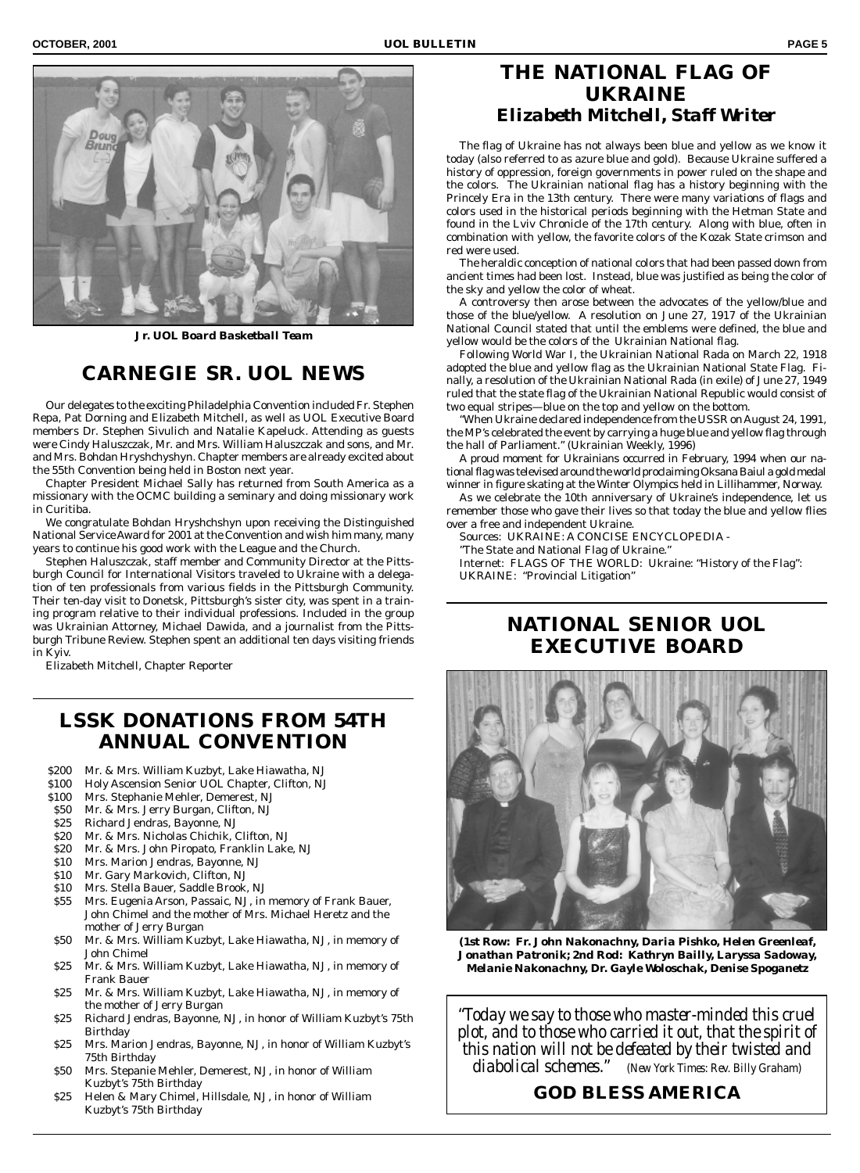

*Jr. UOL Board Basketball Team*

### **CARNEGIE SR. UOL NEWS**

Our delegates to the exciting Philadelphia Convention included Fr. Stephen Repa, Pat Dorning and Elizabeth Mitchell, as well as UOL Executive Board members Dr. Stephen Sivulich and Natalie Kapeluck. Attending as guests were Cindy Haluszczak, Mr. and Mrs. William Haluszczak and sons, and Mr. and Mrs. Bohdan Hryshchyshyn. Chapter members are already excited about the 55th Convention being held in Boston next year.

Chapter President Michael Sally has returned from South America as a missionary with the OCMC building a seminary and doing missionary work in Curitiba.

We congratulate Bohdan Hryshchshyn upon receiving the Distinguished National Service Award for 2001 at the Convention and wish him many, many years to continue his good work with the League and the Church.

Stephen Haluszczak, staff member and Community Director at the Pittsburgh Council for International Visitors traveled to Ukraine with a delegation of ten professionals from various fields in the Pittsburgh Community. Their ten-day visit to Donetsk, Pittsburgh's sister city, was spent in a training program relative to their individual professions. Included in the group was Ukrainian Attorney, Michael Dawida, and a journalist from the Pittsburgh Tribune Review. Stephen spent an additional ten days visiting friends in Kyiv.

Elizabeth Mitchell, Chapter Reporter

# **LSSK DONATIONS FROM 54TH ANNUAL CONVENTION**

- \$200 Mr. & Mrs. William Kuzbyt, Lake Hiawatha, NJ
- \$100 Holy Ascension Senior UOL Chapter, Clifton, NJ
- \$100 Mrs. Stephanie Mehler, Demerest, NJ
- \$50 Mr. & Mrs. Jerry Burgan, Clifton, NJ
- \$25 Richard Jendras, Bayonne, NJ
- \$20 Mr. & Mrs. Nicholas Chichik, Clifton, NJ
- \$20 Mr. & Mrs. John Piropato, Franklin Lake, NJ
- \$10 Mrs. Marion Jendras, Bayonne, NJ
- \$10 Mr. Gary Markovich, Clifton, NJ
- \$10 Mrs. Stella Bauer, Saddle Brook, NJ
- \$55 Mrs. Eugenia Arson, Passaic, NJ, in memory of Frank Bauer, John Chimel and the mother of Mrs. Michael Heretz and the mother of Jerry Burgan
- \$50 Mr. & Mrs. William Kuzbyt, Lake Hiawatha, NJ, in memory of John Chimel
- \$25 Mr. & Mrs. William Kuzbyt, Lake Hiawatha, NJ, in memory of Frank Bauer
- \$25 Mr. & Mrs. William Kuzbyt, Lake Hiawatha, NJ, in memory of the mother of Jerry Burgan
- \$25 Richard Jendras, Bayonne, NJ, in honor of William Kuzbyt's 75th Birthday
- \$25 Mrs. Marion Jendras, Bayonne, NJ, in honor of William Kuzbyt's 75th Birthday
- \$50 Mrs. Stepanie Mehler, Demerest, NJ, in honor of William Kuzbyt's 75th Birthday
- \$25 Helen & Mary Chimel, Hillsdale, NJ, in honor of William Kuzbyt's 75th Birthday

### **THE NATIONAL FLAG OF UKRAINE** *Elizabeth Mitchell, Staff Writer*

The flag of Ukraine has not always been blue and yellow as we know it today (also referred to as azure blue and gold). Because Ukraine suffered a history of oppression, foreign governments in power ruled on the shape and the colors. The Ukrainian national flag has a history beginning with the Princely Era in the 13th century. There were many variations of flags and colors used in the historical periods beginning with the Hetman State and found in the Lviv Chronicle of the 17th century. Along with blue, often in combination with yellow, the favorite colors of the Kozak State crimson and red were used.

The heraldic conception of national colors that had been passed down from ancient times had been lost. Instead, blue was justified as being the color of the sky and yellow the color of wheat.

A controversy then arose between the advocates of the yellow/blue and those of the blue/yellow. A resolution on June 27, 1917 of the Ukrainian National Council stated that until the emblems were defined, the blue and yellow would be the colors of the Ukrainian National flag.

Following World War I, the Ukrainian National Rada on March 22, 1918 adopted the blue and yellow flag as the Ukrainian National State Flag. Finally, a resolution of the Ukrainian National Rada (in exile) of June 27, 1949 ruled that the state flag of the Ukrainian National Republic would consist of two equal stripes—blue on the top and yellow on the bottom.

"When Ukraine declared independence from the USSR on August 24, 1991, the MP's celebrated the event by carrying a huge blue and yellow flag through the hall of Parliament." (Ukrainian Weekly, 1996)

A proud moment for Ukrainians occurred in February, 1994 when our national flag was televised around the world proclaiming Oksana Baiul a gold medal winner in figure skating at the Winter Olympics held in Lillihammer, Norway.

As we celebrate the 10th anniversary of Ukraine's independence, let us remember those who gave their lives so that today the blue and yellow flies over a free and independent Ukraine.

Sources: UKRAINE: A CONCISE ENCYCLOPEDIA -

"The State and National Flag of Ukraine."

Internet: FLAGS OF THE WORLD: Ukraine: "History of the Flag": UKRAINE: "Provincial Litigation"

# **NATIONAL SENIOR UOL EXECUTIVE BOARD**



*(1st Row: Fr. John Nakonachny, Daria Pishko, Helen Greenleaf, Jonathan Patronik; 2nd Rod: Kathryn Bailly, Laryssa Sadoway, Melanie Nakonachny, Dr. Gayle Woloschak, Denise Spoganetz*

*"Today we say to those who master-minded this cruel plot, and to those who carried it out, that the spirit of this nation will not be defeated by their twisted and diabolical schemes." (New York Times: Rev. Billy Graham)*

### **GOD BLESS AMERICA**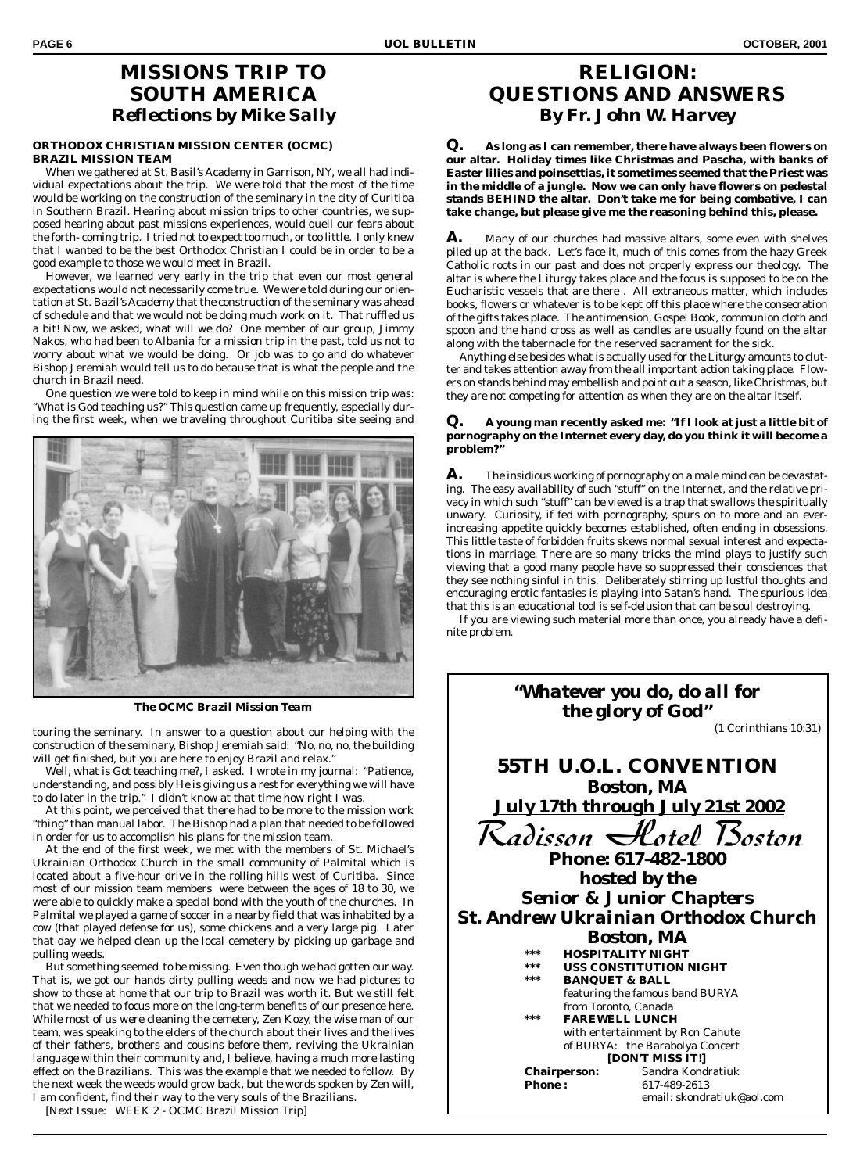# **MISSIONS TRIP TO SOUTH AMERICA** *Reflections by Mike Sally*

### **ORTHODOX CHRISTIAN MISSION CENTER (OCMC) BRAZIL MISSION TEAM**

When we gathered at St. Basil's Academy in Garrison, NY, we all had individual expectations about the trip. We were told that the most of the time would be working on the construction of the seminary in the city of Curitiba in Southern Brazil. Hearing about mission trips to other countries, we supposed hearing about past missions experiences, would quell our fears about the forth- coming trip. I tried not to expect too much, or too little. I only knew that I wanted to be the best Orthodox Christian I could be in order to be a good example to those we would meet in Brazil.

However, we learned very early in the trip that even our most general expectations would not necessarily come true. We were told during our orientation at St. Bazil's Academy that the construction of the seminary was ahead of schedule and that we would not be doing much work on it. That ruffled us a bit! Now, we asked, what will we do? One member of our group, Jimmy Nakos, who had been to Albania for a mission trip in the past, told us not to worry about what we would be doing. Or job was to go and do whatever Bishop Jeremiah would tell us to do because that is what the people and the church in Brazil need.

One question we were told to keep in mind while on this mission trip was: "What is God teaching us?" This question came up frequently, especially during the first week, when we traveling throughout Curitiba site seeing and



*The OCMC Brazil Mission Team*

touring the seminary. In answer to a question about our helping with the construction of the seminary, Bishop Jeremiah said: "No, no, no, the building will get finished, but you are here to enjoy Brazil and relax."

Well, what is Got teaching me?, I asked. I wrote in my journal: "Patience, understanding, and possibly He is giving us a rest for everything we will have to do later in the trip." I didn't know at that time how right I was.

At this point, we perceived that there had to be more to the mission work "thing" than manual labor. The Bishop had a plan that needed to be followed in order for us to accomplish his plans for the mission team.

At the end of the first week, we met with the members of St. Michael's Ukrainian Orthodox Church in the small community of Palmital which is located about a five-hour drive in the rolling hills west of Curitiba. Since most of our mission team members were between the ages of 18 to 30, we were able to quickly make a special bond with the youth of the churches. In Palmital we played a game of soccer in a nearby field that was inhabited by a cow (that played defense for us), some chickens and a very large pig. Later that day we helped clean up the local cemetery by picking up garbage and pulling weeds.

But something seemed to be missing. Even though we had gotten our way. That is, we got our hands dirty pulling weeds and now we had pictures to show to those at home that our trip to Brazil was worth it. But we still felt that we needed to focus more on the long-term benefits of our presence here. While most of us were cleaning the cemetery, Zen Kozy, the wise man of our team, was speaking to the elders of the church about their lives and the lives of their fathers, brothers and cousins before them, reviving the Ukrainian language within their community and, I believe, having a much more lasting effect on the Brazilians. This was the example that we needed to follow. By the next week the weeds would grow back, but the words spoken by Zen will, I am confident, find their way to the very souls of the Brazilians.

[Next Issue: WEEK 2 - OCMC Brazil Mission Trip]

# **RELIGION: QUESTIONS AND ANSWERS** *By Fr. John W. Harvey*

**Q. As long as I can remember, there have always been flowers on our altar. Holiday times like Christmas and Pascha, with banks of Easter lilies and poinsettias, it sometimes seemed that the Priest was in the middle of a jungle. Now we can only have flowers on pedestal stands BEHIND the altar. Don't take me for being combative, I can take change, but please give me the reasoning behind this, please.**

A. Many of our churches had massive altars, some even with shelves piled up at the back. Let's face it, much of this comes from the hazy Greek Catholic roots in our past and does not properly express our theology. The altar is where the Liturgy takes place and the focus is supposed to be on the Eucharistic vessels that are there . All extraneous matter, which includes books, flowers or whatever is to be kept off this place where the consecration of the gifts takes place. The antimension, Gospel Book, communion cloth and spoon and the hand cross as well as candles are usually found on the altar along with the tabernacle for the reserved sacrament for the sick.

Anything else besides what is actually used for the Liturgy amounts to clutter and takes attention away from the all important action taking place. Flowers on stands behind may embellish and point out a season, like Christmas, but they are not competing for attention as when they are on the altar itself.

### **Q. A young man recently asked me: "If I look at just a little bit of pornography on the Internet every day, do you think it will become a problem?"**

**A.** The insidious working of pornography on a male mind can be devastating. The easy availability of such "stuff" on the Internet, and the relative privacy in which such "stuff" can be viewed is a trap that swallows the spiritually unwary. Curiosity, if fed with pornography, spurs on to more and an everincreasing appetite quickly becomes established, often ending in obsessions. This little taste of forbidden fruits skews normal sexual interest and expectations in marriage. There are so many tricks the mind plays to justify such viewing that a good many people have so suppressed their consciences that they see nothing sinful in this. Deliberately stirring up lustful thoughts and encouraging erotic fantasies is playing into Satan's hand. The spurious idea that this is an educational tool is self-delusion that can be soul destroying.

If you are viewing such material more than once, you already have a definite problem.

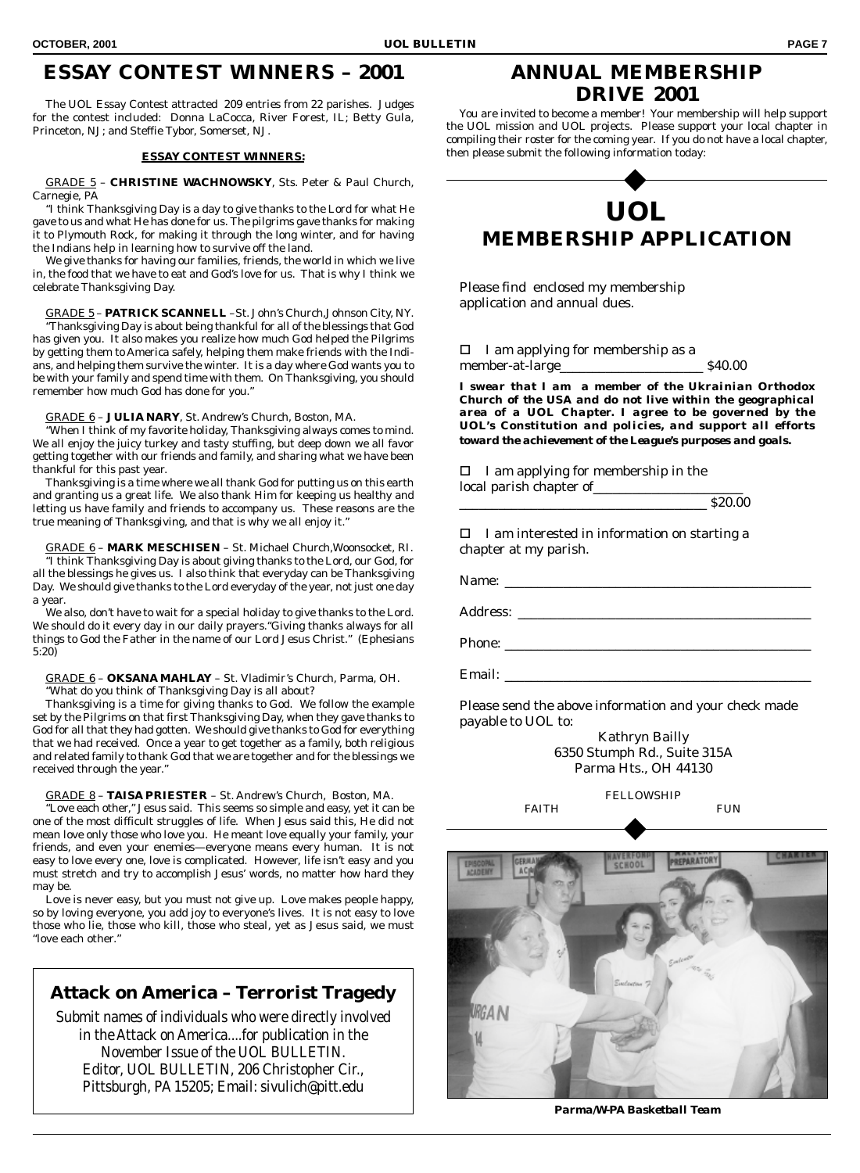The UOL Essay Contest attracted 209 entries from 22 parishes. Judges for the contest included: Donna LaCocca, River Forest, IL; Betty Gula, Princeton, NJ; and Steffie Tybor, Somerset, NJ.

### **ESSAY CONTEST WINNERS:**

GRADE 5 – **CHRISTINE WACHNOWSKY**, Sts. Peter & Paul Church, Carnegie, PA

"I think Thanksgiving Day is a day to give thanks to the Lord for what He gave to us and what He has done for us. The pilgrims gave thanks for making it to Plymouth Rock, for making it through the long winter, and for having the Indians help in learning how to survive off the land.

We give thanks for having our families, friends, the world in which we live in, the food that we have to eat and God's love for us. That is why I think we celebrate Thanksgiving Day.

GRADE 5 – **PATRICK SCANNELL** –St. John's Church,Johnson City, NY. "Thanksgiving Day is about being thankful for all of the blessings that God has given you. It also makes you realize how much God helped the Pilgrims by getting them to America safely, helping them make friends with the Indians, and helping them survive the winter. It is a day where God wants you to be with your family and spend time with them. On Thanksgiving, you should remember how much God has done for you."

### GRADE 6 – **JULIA NARY**, St. Andrew's Church, Boston, MA.

"When I think of my favorite holiday, Thanksgiving always comes to mind. We all enjoy the juicy turkey and tasty stuffing, but deep down we all favor getting together with our friends and family, and sharing what we have been thankful for this past year.

Thanksgiving is a time where we all thank God for putting us on this earth and granting us a great life. We also thank Him for keeping us healthy and letting us have family and friends to accompany us. These reasons are the true meaning of Thanksgiving, and that is why we all enjoy it."

GRADE 6 – **MARK MESCHISEN** – St. Michael Church,Woonsocket, RI. "I think Thanksgiving Day is about giving thanks to the Lord, our God, for all the blessings he gives us. I also think that everyday can be Thanksgiving Day. We should give thanks to the Lord everyday of the year, not just one day a year.

We also, don't have to wait for a special holiday to give thanks to the Lord. We should do it every day in our daily prayers."Giving thanks always for all things to God the Father in the name of our Lord Jesus Christ." (Ephesians 5:20)

GRADE 6 – **OKSANA MAHLAY** – St. Vladimir's Church, Parma, OH. "What do you think of Thanksgiving Day is all about?

Thanksgiving is a time for giving thanks to God. We follow the example set by the Pilgrims on that first Thanksgiving Day, when they gave thanks to God for all that they had gotten. We should give thanks to God for everything that we had received. Once a year to get together as a family, both religious and related family to thank God that we are together and for the blessings we received through the year."

### GRADE 8 – **TAISA PRIESTER** – St. Andrew's Church, Boston, MA.

"Love each other," Jesus said. This seems so simple and easy, yet it can be one of the most difficult struggles of life. When Jesus said this, He did not mean love only those who love you. He meant love equally your family, your friends, and even your enemies—everyone means every human. It is not easy to love every one, love is complicated. However, life isn't easy and you must stretch and try to accomplish Jesus' words, no matter how hard they may be.

Love is never easy, but you must not give up. Love makes people happy, so by loving everyone, you add joy to everyone's lives. It is not easy to love those who lie, those who kill, those who steal, yet as Jesus said, we must "love each other."

## **Attack on America – Terrorist Tragedy**

Submit names of individuals who were directly involved in the Attack on America....for publication in the November Issue of the UOL BULLETIN. Editor, UOL BULLETIN, 206 Christopher Cir., Pittsburgh, PA 15205; Email: sivulich@pitt.edu

# **ANNUAL MEMBERSHIP DRIVE 2001**

You are invited to become a member! Your membership will help support the UOL mission and UOL projects. Please support your local chapter in compiling their roster for the coming year. If you do not have a local chapter, then please submit the following information today:

# **UOL MEMBERSHIP APPLICATION**

Please find enclosed my membership application and annual dues.

 $\Box$  I am applying for membership as a member-at-large\_\_\_\_\_\_\_\_\_\_\_\_\_\_\_\_\_\_\_\_\_\_ *\$40.00*

*I swear that I am a member of the Ukrainian Orthodox Church of the USA and do not live within the geographical area of a UOL Chapter. I agree to be governed by the UOL's Constitution and policies, and support all efforts toward the achievement of the League's purposes and goals.*

 $\Box$  I am applying for membership in the local parish chapter of\_\_\_\_\_\_\_\_\_\_\_\_\_\_\_\_\_\_\_\_\_\_\_

\_\_\_\_\_\_\_\_\_\_\_\_\_\_\_\_\_\_\_\_\_\_\_\_\_\_\_\_\_\_\_\_\_\_\_\_\_\_ *\$20.00*

 $\Box$  I am interested in information on starting a chapter at my parish.

Name: \_\_\_\_\_\_\_\_\_\_\_\_\_\_\_\_\_\_\_\_\_\_\_\_\_\_\_\_\_\_\_\_\_\_\_\_\_\_\_\_\_\_\_\_\_\_\_

Address: \_\_\_\_\_\_\_\_\_\_\_\_\_\_\_\_\_\_\_\_\_\_\_\_\_\_\_\_\_\_\_\_\_\_\_\_\_\_\_\_\_\_\_\_\_

Phone: \_\_\_\_\_\_\_\_\_\_\_\_\_\_\_\_\_\_\_\_\_\_\_\_\_\_\_\_\_\_\_\_\_\_\_\_\_\_\_\_\_\_\_\_\_\_\_

Email: \_\_\_\_\_\_\_\_\_\_\_\_\_\_\_\_\_\_\_\_\_\_\_\_\_\_\_\_\_\_\_\_\_\_\_\_\_\_\_\_\_\_\_\_\_\_\_

Please send the above information and your check made payable to UOL to:

> Kathryn Bailly 6350 Stumph Rd., Suite 315A Parma Hts., OH 44130

### FELLOWSHIP FAITH FUN



*Parma/W-PA Basketball Team*